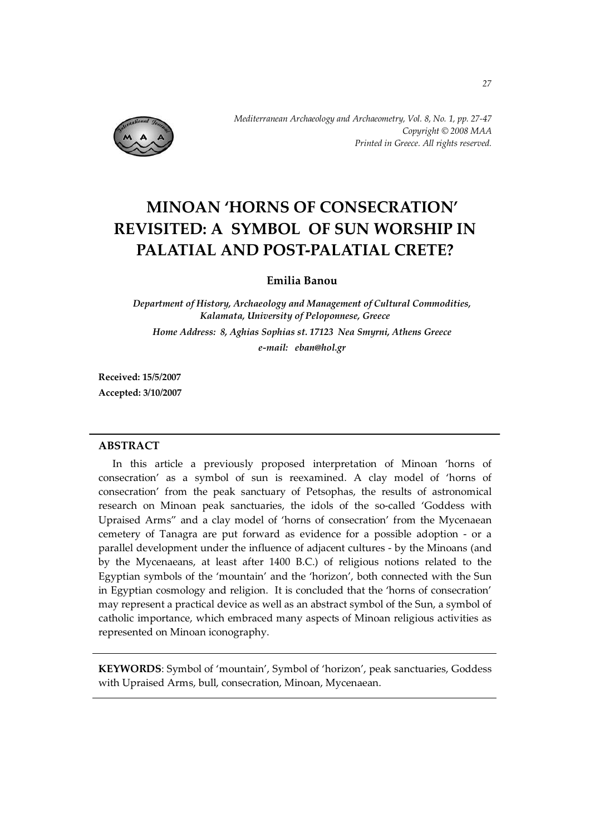

# **MINOAN 'HORNS OF CONSECRATION' REVISITED: A SYMBOL OF SUN WORSHIP IN PALATIAL AND POST-PALATIAL CRETE?**

# **Emilia Banou**

*Department of History, Archaeology and Management of Cultural Commodities, Kalamata, University of Peloponnese, Greece Home Address: 8, Aghias Sophias st. 17123 Nea Smyrni, Athens Greece e-mail: eban@hol.gr* 

**Received: 15/5/2007 Accepted: 3/10/2007**

#### **ABSTRACT**

In this article a previously proposed interpretation of Minoan 'horns of consecration' as a symbol of sun is reexamined. A clay model of 'horns of consecration' from the peak sanctuary of Petsophas, the results of astronomical research on Minoan peak sanctuaries, the idols of the so-called 'Goddess with Upraised Arms" and a clay model of 'horns of consecration' from the Mycenaean cemetery of Tanagra are put forward as evidence for a possible adoption - or a parallel development under the influence of adjacent cultures - by the Minoans (and by the Mycenaeans, at least after 1400 B.C.) of religious notions related to the Egyptian symbols of the 'mountain' and the 'horizon', both connected with the Sun in Egyptian cosmology and religion. It is concluded that the 'horns of consecration' may represent a practical device as well as an abstract symbol of the Sun, a symbol of catholic importance, which embraced many aspects of Minoan religious activities as represented on Minoan iconography.

**KEYWORDS**: Symbol of 'mountain', Symbol of 'horizon', peak sanctuaries, Goddess with Upraised Arms, bull, consecration, Minoan, Mycenaean.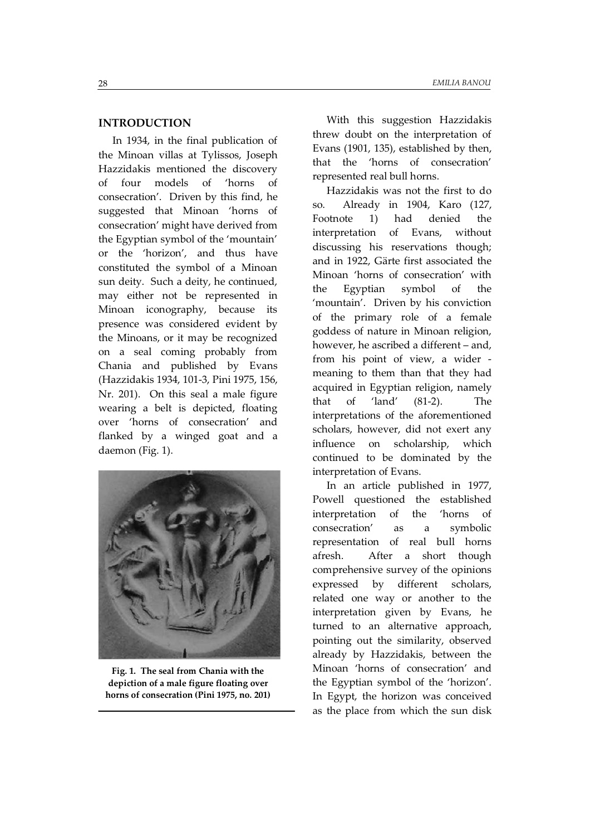#### **INTRODUCTION**

In 1934, in the final publication of the Minoan villas at Tylissos, Joseph Hazzidakis mentioned the discovery of four models of 'horns of consecration'. Driven by this find, he suggested that Minoan 'horns of consecration' might have derived from the Egyptian symbol of the 'mountain' or the 'horizon', and thus have constituted the symbol of a Minoan sun deity. Such a deity, he continued, may either not be represented in Minoan iconography, because its presence was considered evident by the Minoans, or it may be recognized on a seal coming probably from Chania and published by Evans (Hazzidakis 1934, 101-3, Pini 1975, 156, Nr. 201). On this seal a male figure wearing a belt is depicted, floating over 'horns of consecration' and flanked by a winged goat and a daemon (Fig. 1).



**Fig. 1. The seal from Chania with the depiction of a male figure floating over horns of consecration (Pini 1975, no. 201)** 

With this suggestion Hazzidakis threw doubt on the interpretation of Evans (1901, 135), established by then, that the 'horns of consecration' represented real bull horns.

Hazzidakis was not the first to do so. Already in 1904, Karo (127, Footnote 1) had denied the interpretation of Evans, without discussing his reservations though; and in 1922, Gärte first associated the Minoan 'horns of consecration' with the Egyptian symbol of the 'mountain'. Driven by his conviction of the primary role of a female goddess of nature in Minoan religion, however, he ascribed a different – and, from his point of view, a wider meaning to them than that they had acquired in Egyptian religion, namely that of 'land' (81-2). The interpretations of the aforementioned scholars, however, did not exert any influence on scholarship, which continued to be dominated by the interpretation of Evans.

In an article published in 1977, Powell questioned the established interpretation of the 'horns of consecration' as a symbolic representation of real bull horns afresh. After a short though comprehensive survey of the opinions expressed by different scholars, related one way or another to the interpretation given by Evans, he turned to an alternative approach, pointing out the similarity, observed already by Hazzidakis, between the Minoan 'horns of consecration' and the Egyptian symbol of the 'horizon'. In Egypt, the horizon was conceived as the place from which the sun disk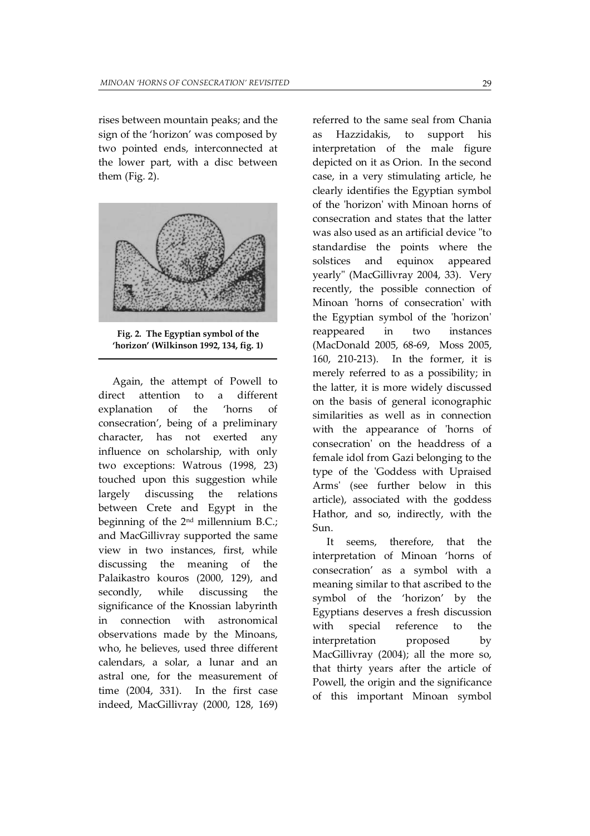rises between mountain peaks; and the sign of the 'horizon' was composed by two pointed ends, interconnected at the lower part, with a disc between them (Fig. 2).



**Fig. 2. The Egyptian symbol of the 'horizon' (Wilkinson 1992, 134, fig. 1)** 

Again, the attempt of Powell to direct attention to a different explanation of the 'horns of consecration', being of a preliminary character, has not exerted any influence on scholarship, with only two exceptions: Watrous (1998, 23) touched upon this suggestion while largely discussing the relations between Crete and Egypt in the beginning of the  $2<sup>nd</sup>$  millennium B.C.; and MacGillivray supported the same view in two instances, first, while discussing the meaning of the Palaikastro kouros (2000, 129), and secondly, while discussing the significance of the Knossian labyrinth in connection with astronomical observations made by the Minoans, who, he believes, used three different calendars, a solar, a lunar and an astral one, for the measurement of time (2004, 331). In the first case indeed, MacGillivray (2000, 128, 169)

referred to the same seal from Chania as Hazzidakis, to support his interpretation of the male figure depicted on it as Orion. In the second case, in a very stimulating article, he clearly identifies the Egyptian symbol of the 'horizon' with Minoan horns of consecration and states that the latter was also used as an artificial device "to standardise the points where the solstices and equinox appeared yearly" (MacGillivray 2004, 33). Very recently, the possible connection of Minoan 'horns of consecration' with the Egyptian symbol of the 'horizon' reappeared in two instances (MacDonald 2005, 68-69, Moss 2005, 160, 210-213). In the former, it is merely referred to as a possibility; in the latter, it is more widely discussed on the basis of general iconographic similarities as well as in connection with the appearance of 'horns of consecration' on the headdress of a female idol from Gazi belonging to the type of the 'Goddess with Upraised Arms' (see further below in this article), associated with the goddess Hathor, and so, indirectly, with the Sun.

It seems, therefore, that the interpretation of Minoan 'horns of consecration' as a symbol with a meaning similar to that ascribed to the symbol of the 'horizon' by the Egyptians deserves a fresh discussion with special reference to the interpretation proposed by MacGillivray (2004); all the more so, that thirty years after the article of Powell, the origin and the significance of this important Minoan symbol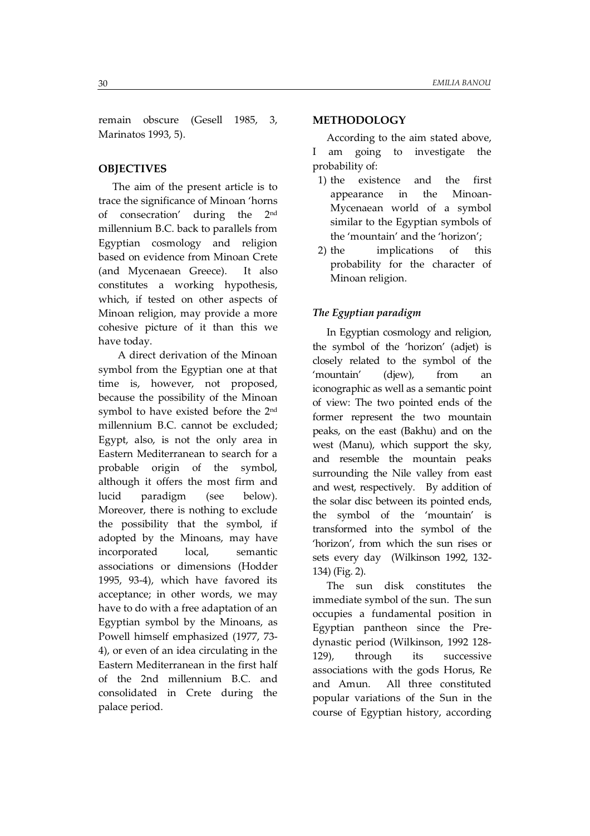remain obscure (Gesell 1985, 3, Marinatos 1993, 5).

### **OBJECTIVES**

The aim of the present article is to trace the significance of Minoan 'horns of consecration' during the 2nd millennium B.C. back to parallels from Egyptian cosmology and religion based on evidence from Minoan Crete (and Mycenaean Greece). It also constitutes a working hypothesis, which, if tested on other aspects of Minoan religion, may provide a more cohesive picture of it than this we have today.

 A direct derivation of the Minoan symbol from the Egyptian one at that time is, however, not proposed, because the possibility of the Minoan symbol to have existed before the 2nd millennium B.C. cannot be excluded; Egypt, also, is not the only area in Eastern Mediterranean to search for a probable origin of the symbol, although it offers the most firm and lucid paradigm (see below). Moreover, there is nothing to exclude the possibility that the symbol, if adopted by the Minoans, may have incorporated local, semantic associations or dimensions (Hodder 1995, 93-4), which have favored its acceptance; in other words, we may have to do with a free adaptation of an Egyptian symbol by the Minoans, as Powell himself emphasized (1977, 73- 4), or even of an idea circulating in the Eastern Mediterranean in the first half of the 2nd millennium B.C. and consolidated in Crete during the palace period.

#### **METHODOLOGY**

According to the aim stated above, I am going to investigate the probability of:

- 1) the existence and the first appearance in the Minoan-Mycenaean world of a symbol similar to the Egyptian symbols of the 'mountain' and the 'horizon';
- 2) the implications of this probability for the character of Minoan religion.

#### *The Egyptian paradigm*

In Egyptian cosmology and religion, the symbol of the 'horizon' (adjet) is closely related to the symbol of the 'mountain' (djew), from an iconographic as well as a semantic point of view: The two pointed ends of the former represent the two mountain peaks, on the east (Bakhu) and on the west (Manu), which support the sky, and resemble the mountain peaks surrounding the Nile valley from east and west, respectively. By addition of the solar disc between its pointed ends, the symbol of the 'mountain' is transformed into the symbol of the 'horizon', from which the sun rises or sets every day (Wilkinson 1992, 132- 134) (Fig. 2).

The sun disk constitutes the immediate symbol of the sun. The sun occupies a fundamental position in Egyptian pantheon since the Predynastic period (Wilkinson, 1992 128- 129), through its successive associations with the gods Horus, Re and Amun. All three constituted popular variations of the Sun in the course of Egyptian history, according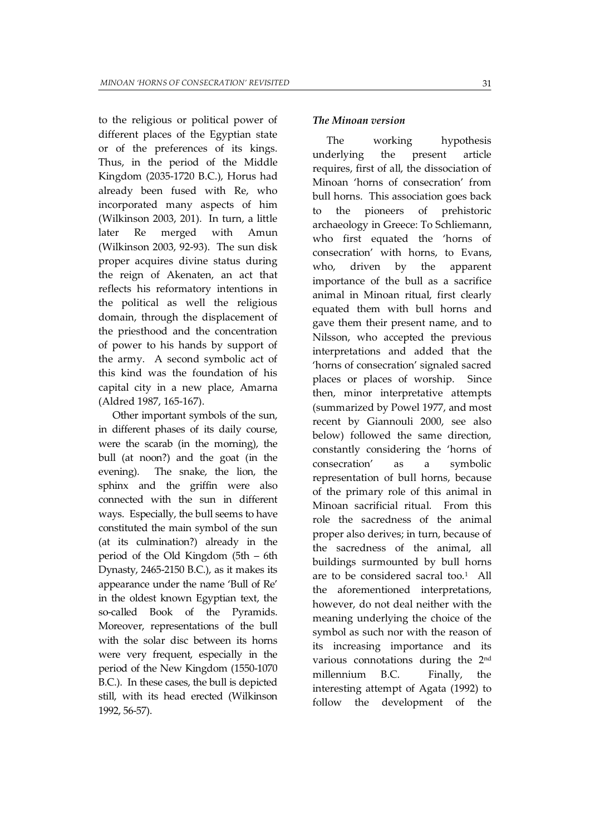to the religious or political power of different places of the Egyptian state or of the preferences of its kings. Thus, in the period of the Middle Kingdom (2035-1720 B.C.), Horus had already been fused with Re, who incorporated many aspects of him (Wilkinson 2003, 201). In turn, a little later Re merged with Amun (Wilkinson 2003, 92-93). The sun disk proper acquires divine status during the reign of Akenaten, an act that reflects his reformatory intentions in the political as well the religious domain, through the displacement of the priesthood and the concentration of power to his hands by support of the army. A second symbolic act of this kind was the foundation of his capital city in a new place, Amarna (Aldred 1987, 165-167).

Other important symbols of the sun, in different phases of its daily course, were the scarab (in the morning), the bull (at noon?) and the goat (in the evening). The snake, the lion, the sphinx and the griffin were also connected with the sun in different ways. Especially, the bull seems to have constituted the main symbol of the sun (at its culmination?) already in the period of the Old Kingdom (5th – 6th Dynasty, 2465-2150 B.C.), as it makes its appearance under the name 'Bull of Re' in the oldest known Egyptian text, the so-called Book of the Pyramids. Moreover, representations of the bull with the solar disc between its horns were very frequent, especially in the period of the New Kingdom (1550-1070 B.C.). In these cases, the bull is depicted still, with its head erected (Wilkinson 1992, 56-57).

### *The Minoan version*

The working hypothesis underlying the present article requires, first of all, the dissociation of Minoan 'horns of consecration' from bull horns. This association goes back to the pioneers of prehistoric archaeology in Greece: To Schliemann, who first equated the 'horns of consecration' with horns, to Evans, who, driven by the apparent importance of the bull as a sacrifice animal in Minoan ritual, first clearly equated them with bull horns and gave them their present name, and to Nilsson, who accepted the previous interpretations and added that the 'horns of consecration' signaled sacred places or places of worship. Since then, minor interpretative attempts (summarized by Powel 1977, and most recent by Giannouli 2000, see also below) followed the same direction, constantly considering the 'horns of consecration' as a symbolic representation of bull horns, because of the primary role of this animal in Minoan sacrificial ritual. From this role the sacredness of the animal proper also derives; in turn, because of the sacredness of the animal, all buildings surmounted by bull horns are to be considered sacral too.<sup>1</sup> All the aforementioned interpretations, however, do not deal neither with the meaning underlying the choice of the symbol as such nor with the reason of its increasing importance and its various connotations during the 2nd millennium B.C. Finally, the interesting attempt of Agata (1992) to follow the development of the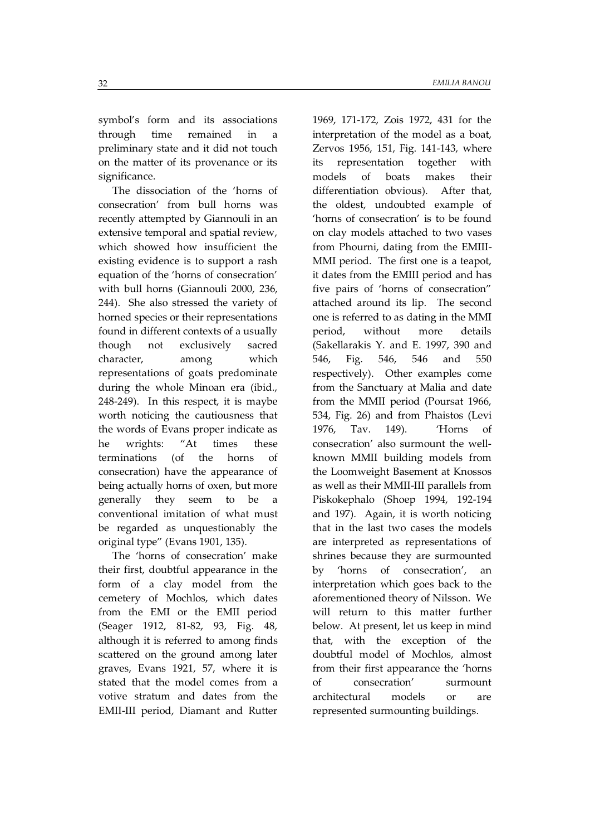symbol's form and its associations through time remained in a preliminary state and it did not touch on the matter of its provenance or its significance.

The dissociation of the 'horns of consecration' from bull horns was recently attempted by Giannouli in an extensive temporal and spatial review, which showed how insufficient the existing evidence is to support a rash equation of the 'horns of consecration' with bull horns (Giannouli 2000, 236, 244). She also stressed the variety of horned species or their representations found in different contexts of a usually though not exclusively sacred character, among which representations of goats predominate during the whole Minoan era (ibid., 248-249). In this respect, it is maybe worth noticing the cautiousness that the words of Evans proper indicate as he wrights: "At times these terminations (of the horns of consecration) have the appearance of being actually horns of oxen, but more generally they seem to be a conventional imitation of what must be regarded as unquestionably the original type" (Evans 1901, 135).

The 'horns of consecration' make their first, doubtful appearance in the form of a clay model from the cemetery of Mochlos, which dates from the EMI or the EMII period (Seager 1912, 81-82, 93, Fig. 48, although it is referred to among finds scattered on the ground among later graves, Evans 1921, 57, where it is stated that the model comes from a votive stratum and dates from the EMII-III period, Diamant and Rutter

1969, 171-172, Zois 1972, 431 for the interpretation of the model as a boat, Zervos 1956, 151, Fig. 141-143, where its representation together with models of boats makes their differentiation obvious). After that, the oldest, undoubted example of 'horns of consecration' is to be found on clay models attached to two vases from Phourni, dating from the EMIII-MMI period. The first one is a teapot, it dates from the EMIII period and has five pairs of 'horns of consecration" attached around its lip. The second one is referred to as dating in the MMI period, without more details (Sakellarakis Y. and E. 1997, 390 and 546, Fig. 546, 546 and 550 respectively). Other examples come from the Sanctuary at Malia and date from the MMII period (Poursat 1966, 534, Fig. 26) and from Phaistos (Levi 1976, Tav. 149). 'Horns of consecration' also surmount the wellknown MMII building models from the Loomweight Basement at Knossos as well as their MMII-III parallels from Piskokephalo (Shoep 1994, 192-194 and 197). Again, it is worth noticing that in the last two cases the models are interpreted as representations of shrines because they are surmounted by 'horns of consecration', an interpretation which goes back to the aforementioned theory of Nilsson. We will return to this matter further below. At present, let us keep in mind that, with the exception of the doubtful model of Mochlos, almost from their first appearance the 'horns of consecration' surmount architectural models or are represented surmounting buildings.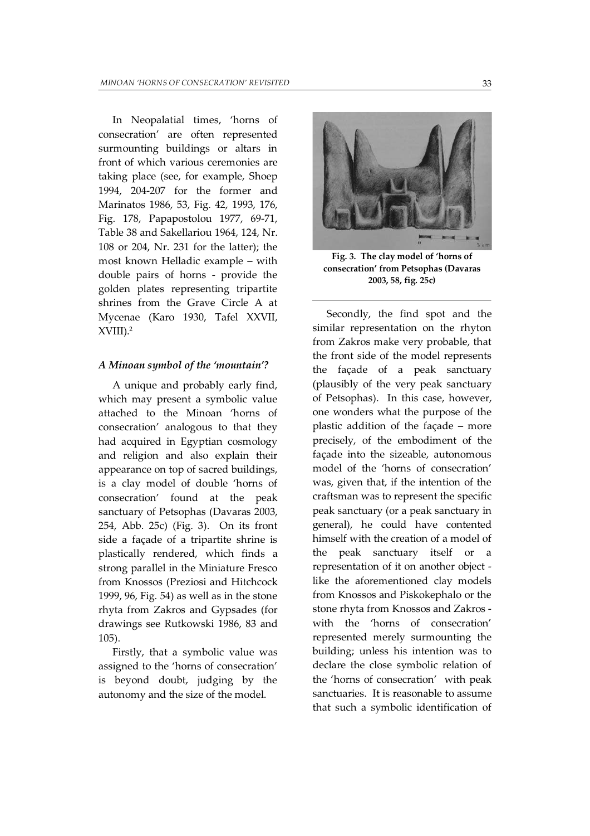In Neopalatial times, 'horns of consecration' are often represented surmounting buildings or altars in front of which various ceremonies are taking place (see, for example, Shoep 1994, 204-207 for the former and Marinatos 1986, 53, Fig. 42, 1993, 176, Fig. 178, Papapostolou 1977, 69-71, Table 38 and Sakellariou 1964, 124, Nr. 108 or 204, Nr. 231 for the latter); the most known Helladic example – with double pairs of horns - provide the golden plates representing tripartite shrines from the Grave Circle A at Mycenae (Karo 1930, Tafel XXVII, XVIII).<sup>2</sup>

#### *A Minoan symbol of the 'mountain'?*

A unique and probably early find, which may present a symbolic value attached to the Minoan 'horns of consecration' analogous to that they had acquired in Egyptian cosmology and religion and also explain their appearance on top of sacred buildings, is a clay model of double 'horns of consecration' found at the peak sanctuary of Petsophas (Davaras 2003, 254, Abb. 25c) (Fig. 3). On its front side a façade of a tripartite shrine is plastically rendered, which finds a strong parallel in the Miniature Fresco from Knossos (Preziosi and Hitchcock 1999, 96, Fig. 54) as well as in the stone rhyta from Zakros and Gypsades (for drawings see Rutkowski 1986, 83 and 105).

Firstly, that a symbolic value was assigned to the 'horns of consecration' is beyond doubt, judging by the autonomy and the size of the model.



**Fig. 3. The clay model of 'horns of consecration' from Petsophas (Davaras 2003, 58, fig. 25c)** 

Secondly, the find spot and the similar representation on the rhyton from Zakros make very probable, that the front side of the model represents the façade of a peak sanctuary (plausibly of the very peak sanctuary of Petsophas). In this case, however, one wonders what the purpose of the plastic addition of the façade – more precisely, of the embodiment of the façade into the sizeable, autonomous model of the 'horns of consecration' was, given that, if the intention of the craftsman was to represent the specific peak sanctuary (or a peak sanctuary in general), he could have contented himself with the creation of a model of the peak sanctuary itself or a representation of it on another object like the aforementioned clay models from Knossos and Piskokephalo or the stone rhyta from Knossos and Zakros with the 'horns of consecration' represented merely surmounting the building; unless his intention was to declare the close symbolic relation of the 'horns of consecration' with peak sanctuaries. It is reasonable to assume that such a symbolic identification of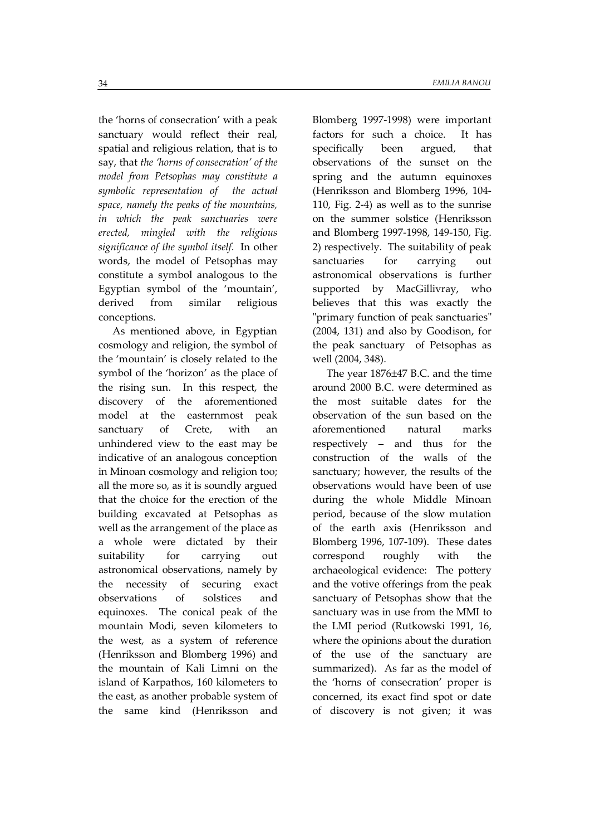the 'horns of consecration' with a peak sanctuary would reflect their real, spatial and religious relation, that is to say, that *the 'horns of consecration' of the model from Petsophas may constitute a symbolic representation of the actual space, namely the peaks of the mountains, in which the peak sanctuaries were erected, mingled with the religious significance of the symbol itself*. In other words, the model of Petsophas may constitute a symbol analogous to the Egyptian symbol of the 'mountain', derived from similar religious conceptions.

As mentioned above, in Egyptian cosmology and religion, the symbol of the 'mountain' is closely related to the symbol of the 'horizon' as the place of the rising sun. In this respect, the discovery of the aforementioned model at the easternmost peak sanctuary of Crete, with an unhindered view to the east may be indicative of an analogous conception in Minoan cosmology and religion too; all the more so, as it is soundly argued that the choice for the erection of the building excavated at Petsophas as well as the arrangement of the place as a whole were dictated by their suitability for carrying out astronomical observations, namely by the necessity of securing exact observations of solstices and equinoxes. The conical peak of the mountain Modi, seven kilometers to the west, as a system of reference (Henriksson and Blomberg 1996) and the mountain of Kali Limni on the island of Karpathos, 160 kilometers to the east, as another probable system of the same kind (Henriksson and

Blomberg 1997-1998) were important factors for such a choice. It has specifically been argued, that observations of the sunset on the spring and the autumn equinoxes (Henriksson and Blomberg 1996, 104- 110, Fig. 2-4) as well as to the sunrise on the summer solstice (Henriksson and Blomberg 1997-1998, 149-150, Fig. 2) respectively. The suitability of peak sanctuaries for carrying out astronomical observations is further supported by MacGillivray, who believes that this was exactly the "primary function of peak sanctuaries" (2004, 131) and also by Goodison, for the peak sanctuary of Petsophas as well (2004, 348).

The year  $1876 \pm 47$  B.C. and the time around 2000 B.C. were determined as the most suitable dates for the observation of the sun based on the aforementioned natural marks respectively – and thus for the construction of the walls of the sanctuary; however, the results of the observations would have been of use during the whole Middle Minoan period, because of the slow mutation of the earth axis (Henriksson and Blomberg 1996, 107-109). These dates correspond roughly with the archaeological evidence: The pottery and the votive offerings from the peak sanctuary of Petsophas show that the sanctuary was in use from the MMI to the LMI period (Rutkowski 1991, 16, where the opinions about the duration of the use of the sanctuary are summarized). As far as the model of the 'horns of consecration' proper is concerned, its exact find spot or date of discovery is not given; it was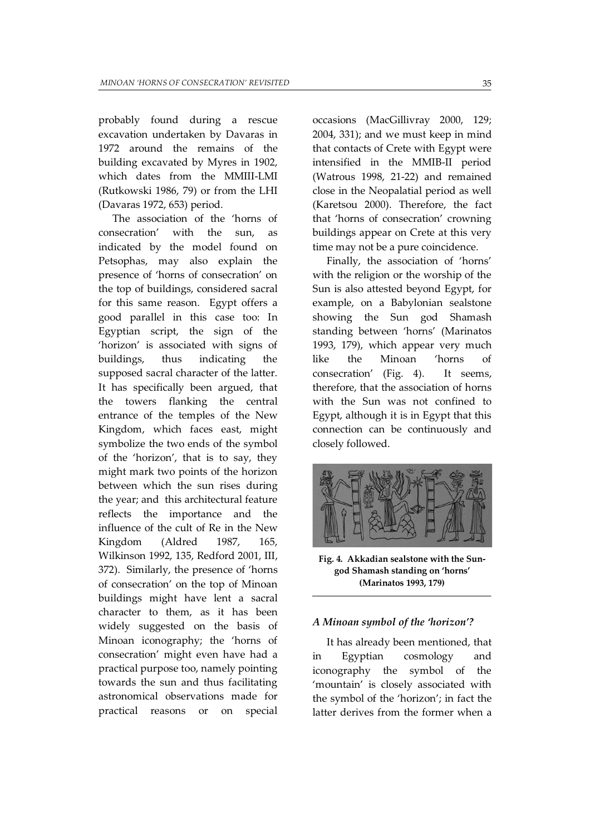probably found during a rescue excavation undertaken by Davaras in 1972 around the remains of the building excavated by Myres in 1902, which dates from the MMIII-LMI (Rutkowski 1986, 79) or from the LHI (Davaras 1972, 653) period.

The association of the 'horns of consecration' with the sun, as indicated by the model found on Petsophas, may also explain the presence of 'horns of consecration' on the top of buildings, considered sacral for this same reason. Egypt offers a good parallel in this case too: In Egyptian script, the sign of the 'horizon' is associated with signs of buildings, thus indicating the supposed sacral character of the latter. It has specifically been argued, that the towers flanking the central entrance of the temples of the New Kingdom, which faces east, might symbolize the two ends of the symbol of the 'horizon', that is to say, they might mark two points of the horizon between which the sun rises during the year; and this architectural feature reflects the importance and the influence of the cult of Re in the New Kingdom (Aldred 1987, 165, Wilkinson 1992, 135, Redford 2001, III, 372). Similarly, the presence of 'horns of consecration' on the top of Minoan buildings might have lent a sacral character to them, as it has been widely suggested on the basis of Minoan iconography; the 'horns of consecration' might even have had a practical purpose too, namely pointing towards the sun and thus facilitating astronomical observations made for practical reasons or on special

occasions (MacGillivray 2000, 129; 2004, 331); and we must keep in mind that contacts of Crete with Egypt were intensified in the MMIB-II period (Watrous 1998, 21-22) and remained close in the Neopalatial period as well (Karetsou 2000). Therefore, the fact that 'horns of consecration' crowning buildings appear on Crete at this very time may not be a pure coincidence.

Finally, the association of 'horns' with the religion or the worship of the Sun is also attested beyond Egypt, for example, on a Babylonian sealstone showing the Sun god Shamash standing between 'horns' (Marinatos 1993, 179), which appear very much like the Minoan 'horns of consecration' (Fig. 4). It seems, therefore, that the association of horns with the Sun was not confined to Egypt, although it is in Egypt that this connection can be continuously and closely followed.



**Fig. 4. Akkadian sealstone with the Sungod Shamash standing on 'horns' (Marinatos 1993, 179)** 

#### *A Minoan symbol of the 'horizon'?*

It has already been mentioned, that in Egyptian cosmology and iconography the symbol of the 'mountain' is closely associated with the symbol of the 'horizon'; in fact the latter derives from the former when a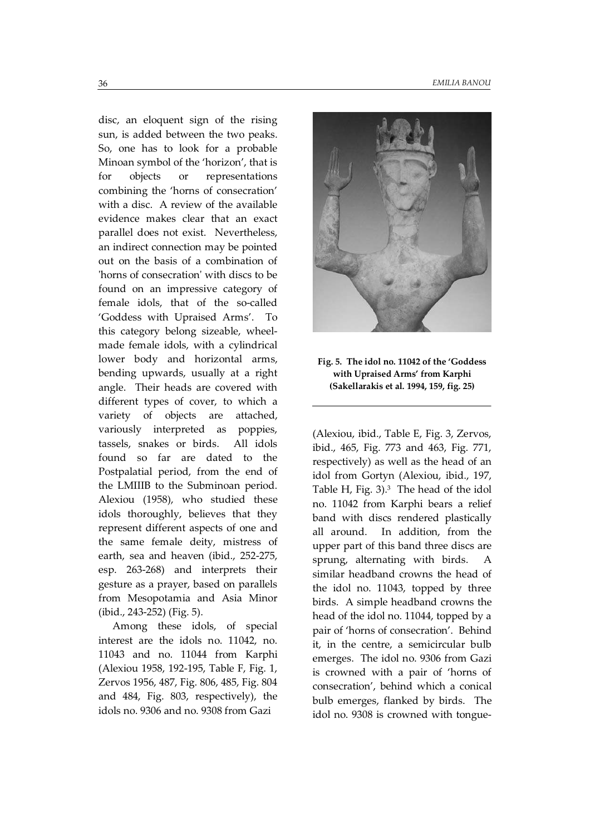disc, an eloquent sign of the rising sun, is added between the two peaks. So, one has to look for a probable Minoan symbol of the 'horizon', that is for objects or representations combining the 'horns of consecration' with a disc. A review of the available evidence makes clear that an exact parallel does not exist. Nevertheless, an indirect connection may be pointed out on the basis of a combination of 'horns of consecration' with discs to be found on an impressive category of female idols, that of the so-called 'Goddess with Upraised Arms'. To this category belong sizeable, wheelmade female idols, with a cylindrical lower body and horizontal arms, bending upwards, usually at a right angle. Their heads are covered with different types of cover, to which a variety of objects are attached, variously interpreted as poppies, tassels, snakes or birds. All idols found so far are dated to the Postpalatial period, from the end of the LMIIIB to the Subminoan period. Alexiou (1958), who studied these idols thoroughly, believes that they represent different aspects of one and the same female deity, mistress of earth, sea and heaven (ibid., 252-275, esp. 263-268) and interprets their gesture as a prayer, based on parallels from Mesopotamia and Asia Minor (ibid., 243-252) (Fig. 5).

Among these idols, of special interest are the idols no. 11042, no. 11043 and no. 11044 from Karphi (Alexiou 1958, 192-195, Table F, Fig. 1, Zervos 1956, 487, Fig. 806, 485, Fig. 804 and 484, Fig. 803, respectively), the idols no. 9306 and no. 9308 from Gazi



# **Fig. 5. The idol no. 11042 of the 'Goddess with Upraised Arms' from Karphi (Sakellarakis et al. 1994, 159, fig. 25)**

(Alexiou, ibid., Table E, Fig. 3, Zervos, ibid., 465, Fig. 773 and 463, Fig. 771, respectively) as well as the head of an idol from Gortyn (Alexiou, ibid., 197, Table H, Fig. 3).<sup>3</sup> The head of the idol no. 11042 from Karphi bears a relief band with discs rendered plastically all around. In addition, from the upper part of this band three discs are sprung, alternating with birds. similar headband crowns the head of the idol no. 11043, topped by three birds. A simple headband crowns the head of the idol no. 11044, topped by a pair of 'horns of consecration'. Behind it, in the centre, a semicircular bulb emerges. The idol no. 9306 from Gazi is crowned with a pair of 'horns of consecration', behind which a conical bulb emerges, flanked by birds. The idol no. 9308 is crowned with tongue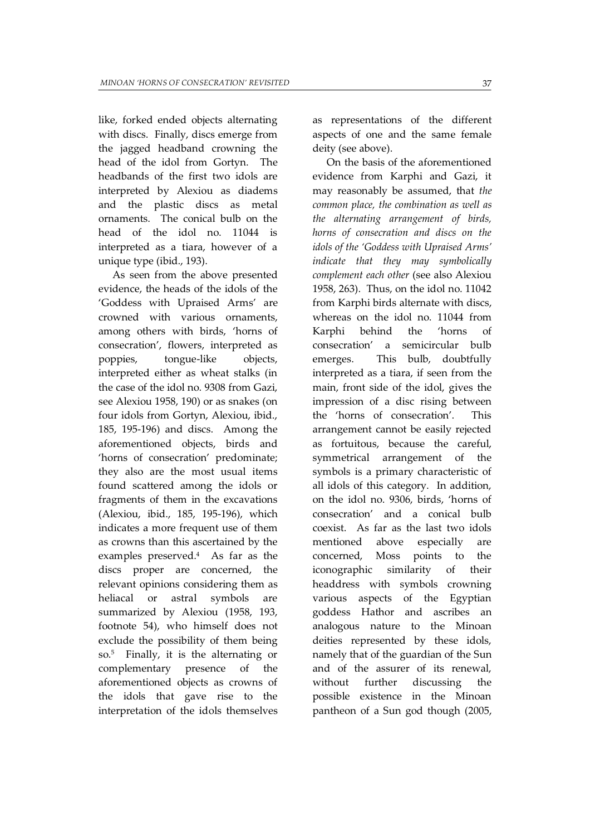like, forked ended objects alternating with discs. Finally, discs emerge from the jagged headband crowning the head of the idol from Gortyn. The headbands of the first two idols are interpreted by Alexiou as diadems and the plastic discs as metal ornaments. The conical bulb on the head of the idol no. 11044 is interpreted as a tiara, however of a unique type (ibid., 193).

As seen from the above presented evidence, the heads of the idols of the 'Goddess with Upraised Arms' are crowned with various ornaments, among others with birds, 'horns of consecration', flowers, interpreted as poppies, tongue-like objects, interpreted either as wheat stalks (in the case of the idol no. 9308 from Gazi, see Alexiou 1958, 190) or as snakes (on four idols from Gortyn, Alexiou, ibid., 185, 195-196) and discs. Among the aforementioned objects, birds and 'horns of consecration' predominate; they also are the most usual items found scattered among the idols or fragments of them in the excavations (Alexiou, ibid., 185, 195-196), which indicates a more frequent use of them as crowns than this ascertained by the examples preserved.<sup>4</sup> As far as the discs proper are concerned, the relevant opinions considering them as heliacal or astral symbols are summarized by Alexiou (1958, 193, footnote 54), who himself does not exclude the possibility of them being so.<sup>5</sup> Finally, it is the alternating or complementary presence of the aforementioned objects as crowns of the idols that gave rise to the interpretation of the idols themselves

as representations of the different aspects of one and the same female deity (see above).

On the basis of the aforementioned evidence from Karphi and Gazi, it may reasonably be assumed, that *the common place, the combination as well as the alternating arrangement of birds, horns of consecration and discs on the idols of the 'Goddess with Upraised Arms' indicate that they may symbolically complement each other* (see also Alexiou 1958, 263). Thus, on the idol no. 11042 from Karphi birds alternate with discs, whereas on the idol no. 11044 from Karphi behind the 'horns of consecration' a semicircular bulb emerges. This bulb, doubtfully interpreted as a tiara, if seen from the main, front side of the idol, gives the impression of a disc rising between the 'horns of consecration'. This arrangement cannot be easily rejected as fortuitous, because the careful, symmetrical arrangement of the symbols is a primary characteristic of all idols of this category. In addition, on the idol no. 9306, birds, 'horns of consecration' and a conical bulb coexist. As far as the last two idols mentioned above especially are concerned, Moss points to the iconographic similarity of their headdress with symbols crowning various aspects of the Egyptian goddess Hathor and ascribes an analogous nature to the Minoan deities represented by these idols, namely that of the guardian of the Sun and of the assurer of its renewal, without further discussing the possible existence in the Minoan pantheon of a Sun god though (2005,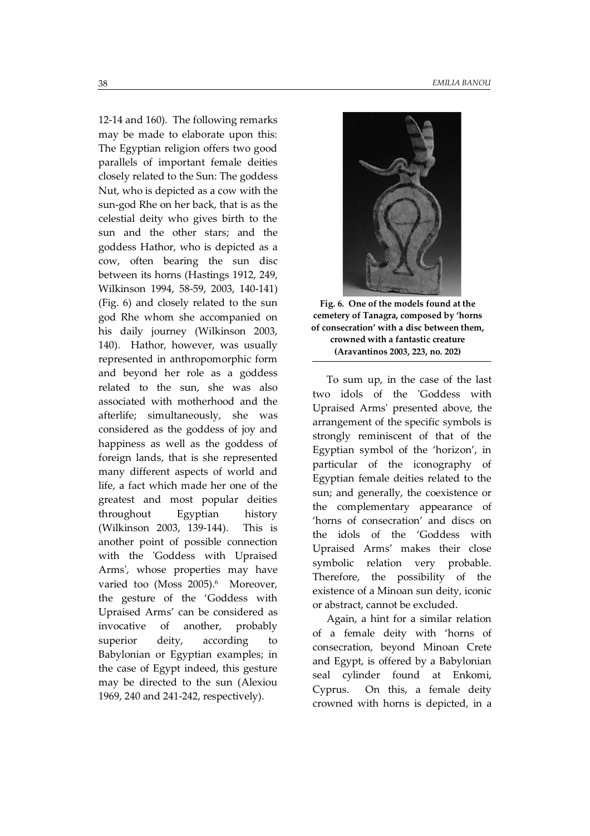12-14 and 160). The following remarks may be made to elaborate upon this: The Egyptian religion offers two good parallels of important female deities closely related to the Sun: The goddess Nut, who is depicted as a cow with the sun-god Rhe on her back, that is as the celestial deity who gives birth to the sun and the other stars; and the goddess Hathor, who is depicted as a cow, often bearing the sun disc between its horns (Hastings 1912, 249, Wilkinson 1994, 58-59, 2003, 140-141) (Fig. 6) and closely related to the sun god Rhe whom she accompanied on his daily journey (Wilkinson 2003, 140). Hathor, however, was usually represented in anthropomorphic form and beyond her role as a goddess related to the sun, she was also associated with motherhood and the afterlife; simultaneously, she was considered as the goddess of joy and happiness as well as the goddess of foreign lands, that is she represented many different aspects of world and life, a fact which made her one of the greatest and most popular deities throughout Egyptian history (Wilkinson 2003, 139-144). This is another point of possible connection with the 'Goddess with Upraised Arms', whose properties may have varied too (Moss 2005).<sup>6</sup> Moreover, the gesture of the 'Goddess with Upraised Arms' can be considered as invocative of another, probably superior deity, according to Babylonian or Egyptian examples; in the case of Egypt indeed, this gesture may be directed to the sun (Alexiou 1969, 240 and 241-242, respectively).



**(Aravantinos 2003, 223, no. 202) crowned with a fantastic creature of consecration' with a disc between them, cemetery of Tanagra, composed by 'horns Fig. 6. One of the models found at the** 

To sum up, in the case of the last two idols of the 'Goddess with Upraised Arms' presented above, the arrangement of the specific symbols is strongly reminiscent of that of the Egyptian symbol of the 'horizon', in particular of the iconography of Egyptian female deities related to the sun; and generally, the coexistence or the complementary appearance of 'horns of consecration' and discs on the idols of the 'Goddess with Upraised Arms' makes their close symbolic relation very probable. Therefore, the possibility of the existence of a Minoan sun deity, iconic or abstract, cannot be excluded.

Again, a hint for a similar relation of a female deity with 'horns of consecration, beyond Minoan Crete and Egypt, is offered by a Babylonian seal cylinder found at Enkomi, Cyprus. On this, a female deity crowned with horns is depicted, in a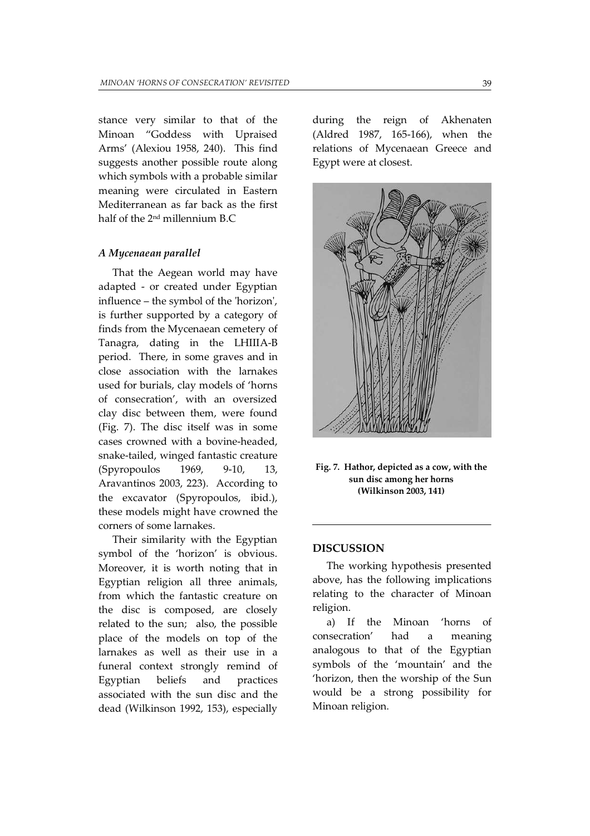stance very similar to that of the Minoan "Goddess with Upraised Arms' (Alexiou 1958, 240). This find suggests another possible route along which symbols with a probable similar meaning were circulated in Eastern Mediterranean as far back as the first half of the 2nd millennium B.C

#### *A Mycenaean parallel*

That the Aegean world may have adapted - or created under Egyptian influence – the symbol of the 'horizon', is further supported by a category of finds from the Mycenaean cemetery of Tanagra, dating in the LHIIIA-B period. There, in some graves and in close association with the larnakes used for burials, clay models of 'horns of consecration', with an oversized clay disc between them, were found (Fig. 7). The disc itself was in some cases crowned with a bovine-headed, snake-tailed, winged fantastic creature (Spyropoulos 1969, 9-10, 13, Aravantinos 2003, 223). According to the excavator (Spyropoulos, ibid.), these models might have crowned the corners of some larnakes.

Their similarity with the Egyptian symbol of the 'horizon' is obvious. Moreover, it is worth noting that in Egyptian religion all three animals, from which the fantastic creature on the disc is composed, are closely related to the sun; also, the possible place of the models on top of the larnakes as well as their use in a funeral context strongly remind of Egyptian beliefs and practices associated with the sun disc and the dead (Wilkinson 1992, 153), especially during the reign of Akhenaten (Aldred 1987, 165-166), when the relations of Mycenaean Greece and Egypt were at closest.



**(Wilkinson 2003, 141) sun disc among her horns Fig. 7. Hathor, depicted as a cow, with the** 

#### **DISCUSSION**

The working hypothesis presented above, has the following implications relating to the character of Minoan religion.

a) If the Minoan 'horns of consecration' had a meaning analogous to that of the Egyptian symbols of the 'mountain' and the 'horizon, then the worship of the Sun would be a strong possibility for Minoan religion.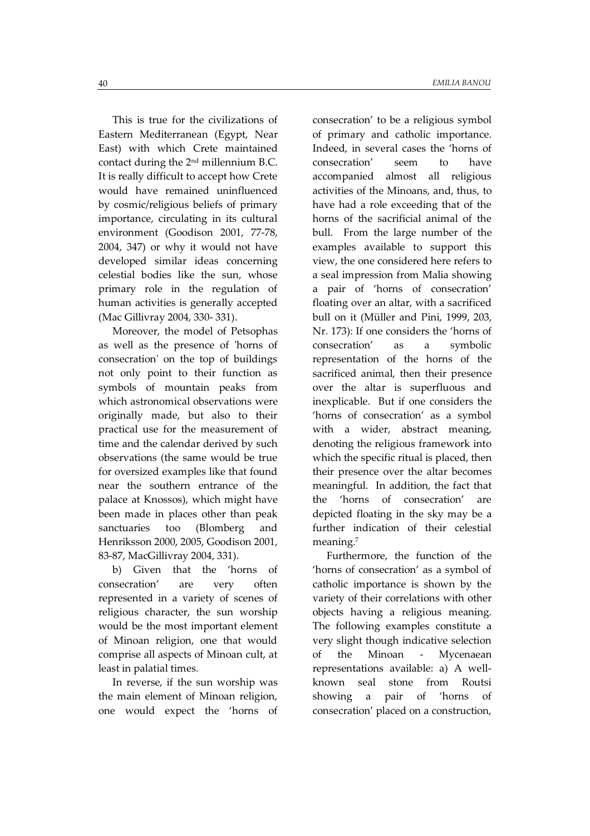This is true for the civilizations of Eastern Mediterranean (Egypt, Near East) with which Crete maintained contact during the  $2<sup>nd</sup>$  millennium B.C. It is really difficult to accept how Crete would have remained uninfluenced by cosmic/religious beliefs of primary importance, circulating in its cultural environment (Goodison 2001, 77-78, 2004, 347) or why it would not have developed similar ideas concerning celestial bodies like the sun, whose primary role in the regulation of human activities is generally accepted (Mac Gillivray 2004, 330- 331).

Moreover, the model of Petsophas as well as the presence of 'horns of consecration' on the top of buildings not only point to their function as symbols of mountain peaks from which astronomical observations were originally made, but also to their practical use for the measurement of time and the calendar derived by such observations (the same would be true for oversized examples like that found near the southern entrance of the palace at Knossos), which might have been made in places other than peak sanctuaries too (Blomberg and Henriksson 2000, 2005, Goodison 2001, 83-87, MacGillivray 2004, 331).

b) Given that the 'horns of consecration' are very often represented in a variety of scenes of religious character, the sun worship would be the most important element of Minoan religion, one that would comprise all aspects of Minoan cult, at least in palatial times.

In reverse, if the sun worship was the main element of Minoan religion, one would expect the 'horns of

consecration' to be a religious symbol of primary and catholic importance. Indeed, in several cases the 'horns of consecration' seem to have accompanied almost all religious activities of the Minoans, and, thus, to have had a role exceeding that of the horns of the sacrificial animal of the bull. From the large number of the examples available to support this view, the one considered here refers to a seal impression from Malia showing a pair of 'horns of consecration' floating over an altar, with a sacrificed bull on it (Müller and Pini, 1999, 203, Nr. 173): If one considers the 'horns of consecration' as a symbolic representation of the horns of the sacrificed animal, then their presence over the altar is superfluous and inexplicable. But if one considers the 'horns of consecration' as a symbol with a wider, abstract meaning, denoting the religious framework into which the specific ritual is placed, then their presence over the altar becomes meaningful. In addition, the fact that the 'horns of consecration' are depicted floating in the sky may be a further indication of their celestial meaning.<sup>7</sup>

Furthermore, the function of the 'horns of consecration' as a symbol of catholic importance is shown by the variety of their correlations with other objects having a religious meaning. The following examples constitute a very slight though indicative selection of the Minoan - Mycenaean representations available: a) A wellknown seal stone from Routsi showing a pair of 'horns of consecration' placed on a construction,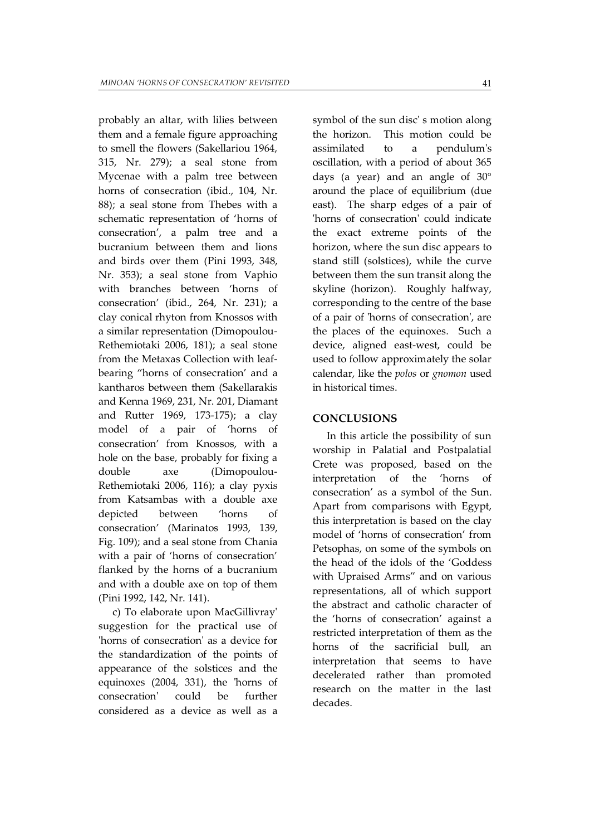probably an altar, with lilies between them and a female figure approaching to smell the flowers (Sakellariou 1964, 315, Nr. 279); a seal stone from Mycenae with a palm tree between horns of consecration (ibid., 104, Nr. 88); a seal stone from Thebes with a schematic representation of 'horns of consecration', a palm tree and a bucranium between them and lions and birds over them (Pini 1993, 348, Nr. 353); a seal stone from Vaphio with branches between 'horns of consecration' (ibid., 264, Nr. 231); a clay conical rhyton from Knossos with a similar representation (Dimopoulou-Rethemiotaki 2006, 181); a seal stone from the Metaxas Collection with leafbearing "horns of consecration' and a kantharos between them (Sakellarakis and Kenna 1969, 231, Nr. 201, Diamant and Rutter 1969, 173-175); a clay model of a pair of 'horns of consecration' from Knossos, with a hole on the base, probably for fixing a double axe (Dimopoulou-Rethemiotaki 2006, 116); a clay pyxis from Katsambas with a double axe depicted between 'horns of consecration' (Marinatos 1993, 139, Fig. 109); and a seal stone from Chania with a pair of 'horns of consecration' flanked by the horns of a bucranium and with a double axe on top of them (Pini 1992, 142, Nr. 141).

c) To elaborate upon MacGillivray' suggestion for the practical use of 'horns of consecration' as a device for the standardization of the points of appearance of the solstices and the equinoxes (2004, 331), the 'horns of consecration' could be further considered as a device as well as a

symbol of the sun disc' s motion along the horizon. This motion could be assimilated to a pendulum's oscillation, with a period of about 365 days (a year) and an angle of  $30^{\circ}$ around the place of equilibrium (due east). The sharp edges of a pair of 'horns of consecration' could indicate the exact extreme points of the horizon, where the sun disc appears to stand still (solstices), while the curve between them the sun transit along the skyline (horizon). Roughly halfway, corresponding to the centre of the base of a pair of 'horns of consecration', are the places of the equinoxes. Such a device, aligned east-west, could be used to follow approximately the solar calendar, like the *polos* or *gnomon* used in historical times.

### **CONCLUSIONS**

In this article the possibility of sun worship in Palatial and Postpalatial Crete was proposed, based on the interpretation of the 'horns of consecration' as a symbol of the Sun. Apart from comparisons with Egypt, this interpretation is based on the clay model of 'horns of consecration' from Petsophas, on some of the symbols on the head of the idols of the 'Goddess with Upraised Arms" and on various representations, all of which support the abstract and catholic character of the 'horns of consecration' against a restricted interpretation of them as the horns of the sacrificial bull, an interpretation that seems to have decelerated rather than promoted research on the matter in the last decades.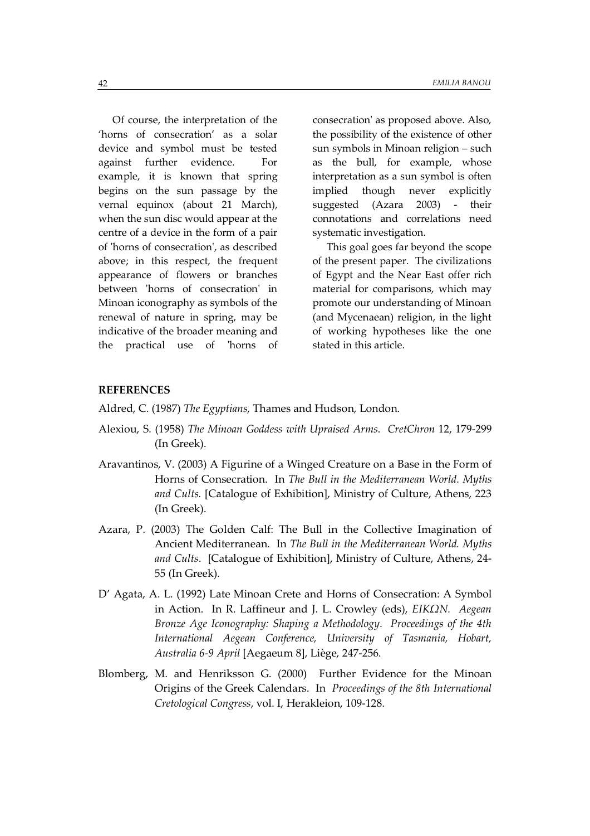Of course, the interpretation of the 'horns of consecration' as a solar device and symbol must be tested against further evidence. For example, it is known that spring begins on the sun passage by the vernal equinox (about 21 March), when the sun disc would appear at the centre of a device in the form of a pair of 'horns of consecration', as described above; in this respect, the frequent appearance of flowers or branches between 'horns of consecration' in Minoan iconography as symbols of the renewal of nature in spring, may be indicative of the broader meaning and the practical use of 'horns of

consecration' as proposed above. Also, the possibility of the existence of other sun symbols in Minoan religion – such as the bull, for example, whose interpretation as a sun symbol is often implied though never explicitly suggested (Azara 2003) - their connotations and correlations need systematic investigation.

This goal goes far beyond the scope of the present paper. The civilizations of Egypt and the Near East offer rich material for comparisons, which may promote our understanding of Minoan (and Mycenaean) religion, in the light of working hypotheses like the one stated in this article.

# **REFERENCES**

Aldred, C. (1987) *The Egyptians*, Thames and Hudson, London.

- Alexiou, S. (1958) *The Minoan Goddess with Upraised Arms*. *CretChron* 12, 179-299 (In Greek).
- Aravantinos, V. (2003) A Figurine of a Winged Creature on a Base in the Form of Horns of Consecration. In *The Bull in the Mediterranean World. Myths and Cults.* [Catalogue of Exhibition], Ministry of Culture, Athens, 223 (In Greek).
- Azara, P. (2003) The Golden Calf: The Bull in the Collective Imagination of Ancient Mediterranean. In *The Bull in the Mediterranean World. Myths and Cults*. [Catalogue of Exhibition], Ministry of Culture, Athens, 24- 55 (In Greek).
- D' Agata, A. L. (1992) Late Minoan Crete and Horns of Consecration: A Symbol in Action. In R. Laffineur and J. L. Crowley (eds), *EIKΩN. Aegean Bronze Age Iconography: Shaping a Methodology*. *Proceedings of the 4th International Aegean Conference, University of Tasmania, Hobart, Australia 6-9 April* [Aegaeum 8], Liège, 247-256.
- Blomberg, M. and Henriksson G. (2000) Further Evidence for the Minoan Origins of the Greek Calendars. In *Proceedings of the 8th International Cretological Congress*, vol. I, Herakleion, 109-128.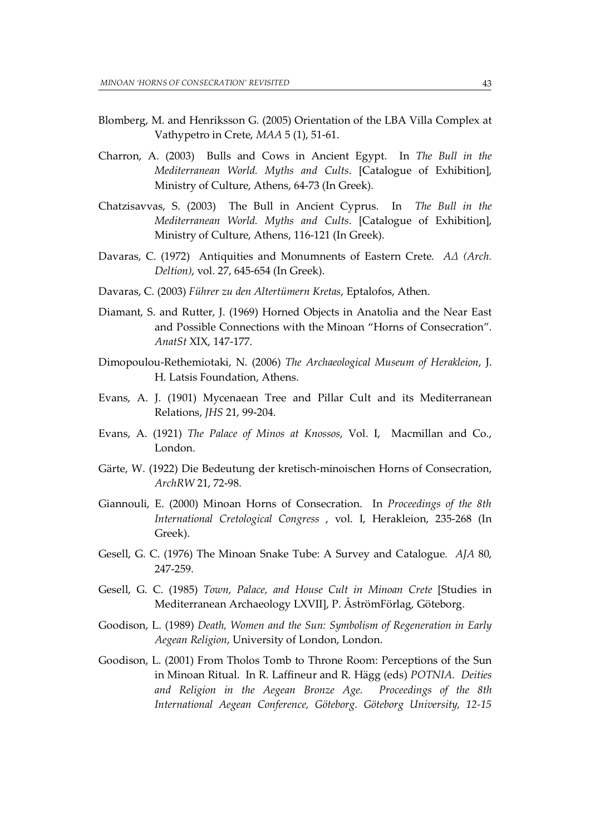- Blomberg, M. and Henriksson G. (2005) Orientation of the LBA Villa Complex at Vathypetro in Crete, *MAA* 5 (1), 51-61.
- Charron, A. (2003) Bulls and Cows in Ancient Egypt. In *The Bull in the Mediterranean World. Myths and Cults*. [Catalogue of Exhibition], Ministry of Culture, Athens, 64-73 (In Greek).
- Chatzisavvas, S. (2003) The Bull in Ancient Cyprus. In *The Bull in the Mediterranean World. Myths and Cults*. [Catalogue of Exhibition], Ministry of Culture, Athens, 116-121 (In Greek).
- Davaras, C. (1972) Antiquities and Monumnents of Eastern Crete. *AA (Arch. Deltion)*, vol. 27, 645-654 (In Greek).
- Davaras, C. (2003) *Führer zu den Altertümern Kretas*, Eptalofos, Athen.
- Diamant, S. and Rutter, J. (1969) Horned Objects in Anatolia and the Near East and Possible Connections with the Minoan "Horns of Consecration". *AnatSt* XIX, 147-177.
- Dimopoulou-Rethemiotaki, N. (2006) *The Archaeological Museum of Herakleion*, J. H. Latsis Foundation, Athens.
- Evans, A. J. (1901) Mycenaean Tree and Pillar Cult and its Mediterranean Relations, *JHS* 21, 99-204.
- Evans, A. (1921) *The Palace of Minos at Knossos*, Vol. I, Macmillan and Co., London.
- Gärte, W. (1922) Die Bedeutung der kretisch-minoischen Horns of Consecration, *ArchRW* 21, 72-98.
- Giannouli, E. (2000) Minoan Horns of Consecration. In *Proceedings of the 8th International Cretological Congress* , vol. I, Herakleion, 235-268 (In Greek).
- Gesell, G. C. (1976) The Minoan Snake Tube: A Survey and Catalogue. *AJA* 80, 247-259.
- Gesell, G. C. (1985) *Town, Palace, and House Cult in Minoan Crete* [Studies in Mediterranean Archaeology LXVII], P. ÅströmFörlag, Göteborg.
- Goodison, L. (1989) *Death, Women and the Sun: Symbolism of Regeneration in Early Aegean Religion*, University of London, London.
- Goodison, L. (2001) From Tholos Tomb to Throne Room: Perceptions of the Sun in Minoan Ritual. In R. Laffineur and R. Hägg (eds) *POTNIA. Deities and Religion in the Aegean Bronze Age. Proceedings of the 8th International Aegean Conference, Göteborg. Göteborg University, 12-15*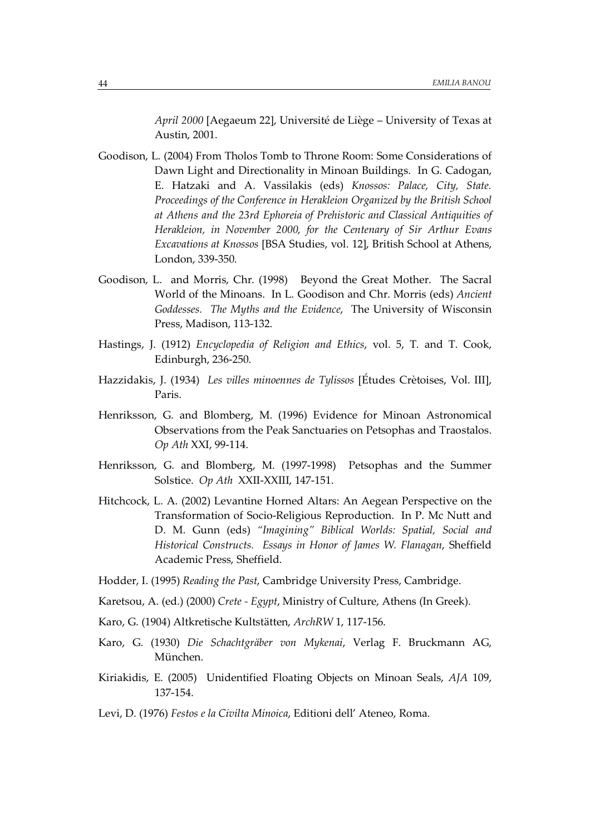*April 2000* [Aegaeum 22], Université de Liège – University of Texas at Austin, 2001.

- Goodison, L. (2004) From Tholos Tomb to Throne Room: Some Considerations of Dawn Light and Directionality in Minoan Buildings. In G. Cadogan, E. Hatzaki and A. Vassilakis (eds) *Knossos: Palace, City, State. Proceedings of the Conference in Herakleion Organized by the British School at Athens and the 23rd Ephoreia of Prehistoric and Classical Antiquities of Herakleion, in November 2000, for the Centenary of Sir Arthur Evans Excavations at Knossos* [BSA Studies, vol. 12], British School at Athens, London, 339-350.
- Goodison, L. and Morris, Chr. (1998) Beyond the Great Mother. The Sacral World of the Minoans. In L. Goodison and Chr. Morris (eds) *Ancient Goddesses. The Myths and the Evidence*, The University of Wisconsin Press, Madison, 113-132.
- Hastings, J. (1912) *Encyclopedia of Religion and Ethics*, vol. 5, T. and T. Cook, Edinburgh, 236-250.
- Hazzidakis, J. (1934) *Les villes minoennes de Tylissos* [Études Crètoises, Vol. III], Paris.
- Henriksson, G. and Blomberg, M. (1996) Evidence for Minoan Astronomical Observations from the Peak Sanctuaries on Petsophas and Traostalos. *Op Ath* XXI, 99-114.
- Henriksson, G. and Blomberg, M. (1997-1998) Petsophas and the Summer Solstice. *Op Ath* XXII-XXIII, 147-151.
- Hitchcock, L. A. (2002) Levantine Horned Altars: An Aegean Perspective on the Transformation of Socio-Religious Reproduction. In P. Mc Nutt and D. M. Gunn (eds) *"Imagining" Biblical Worlds: Spatial, Social and Historical Constructs. Essays in Honor of James W. Flanagan*, Sheffield Academic Press, Sheffield.
- Hodder, I. (1995) *Reading the Past*, Cambridge University Press, Cambridge.
- Karetsou, A. (ed.) (2000) *Crete Egypt*, Ministry of Culture, Athens (In Greek).
- Karo, G. (1904) Altkretische Kultstätten, *ArchRW* 1, 117-156.
- Karo, G. (1930) *Die Schachtgräber von Mykenai*, Verlag F. Bruckmann AG, München.
- Kiriakidis, E. (2005) Unidentified Floating Objects on Minoan Seals, *AJA* 109, 137-154.
- Levi, D. (1976) *Festos e la Civilta Minoica*, Editioni dell' Ateneo, Roma.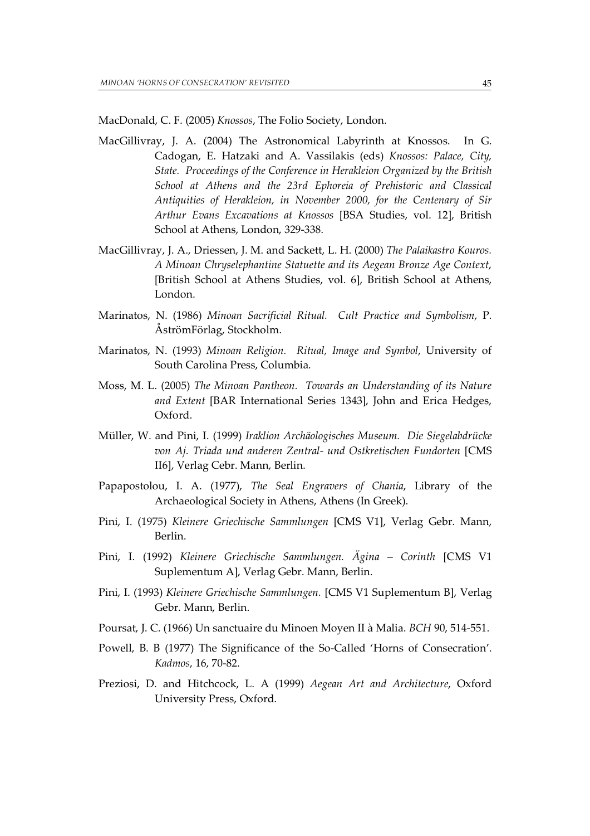MacDonald, C. F. (2005) *Knossos*, The Folio Society, London.

- MacGillivray, J. A. (2004) The Astronomical Labyrinth at Knossos. In G. Cadogan, E. Hatzaki and A. Vassilakis (eds) *Knossos: Palace, City, State. Proceedings of the Conference in Herakleion Organized by the British School at Athens and the 23rd Ephoreia of Prehistoric and Classical Antiquities of Herakleion, in November 2000, for the Centenary of Sir Arthur Evans Excavations at Knossos* [BSA Studies, vol. 12], British School at Athens, London, 329-338.
- MacGillivray, J. A., Driessen, J. M. and Sackett, L. H. (2000) *The Palaikastro Kouros. A Minoan Chryselephantine Statuette and its Aegean Bronze Age Context*, [British School at Athens Studies, vol. 6], British School at Athens, London.
- Marinatos, N. (1986) *Minoan Sacrificial Ritual. Cult Practice and Symbolism*, P. ÅströmFörlag, Stockholm.
- Marinatos, N. (1993) *Minoan Religion. Ritual, Image and Symbol*, University of South Carolina Press, Columbia.
- Moss, M. L. (2005) *The Minoan Pantheon. Towards an Understanding of its Nature and Extent* [BAR International Series 1343], John and Erica Hedges, Oxford.
- Müller, W. and Pini, I. (1999) *Iraklion Archäologisches Museum. Die Siegelabdrücke von Aj. Triada und anderen Zentral- und Ostkretischen Fundorten* [CMS II6], Verlag Cebr. Mann, Berlin.
- Papapostolou, I. A. (1977), *The Seal Engravers of Chania*, Library of the Archaeological Society in Athens, Athens (In Greek).
- Pini, I. (1975) *Kleinere Griechische Sammlungen* [CMS V1], Verlag Gebr. Mann, Berlin.
- Pini, I. (1992) *Kleinere Griechische Sammlungen. Ägina Corinth* [CMS V1 Suplementum A], Verlag Gebr. Mann, Berlin.
- Pini, I. (1993) *Kleinere Griechische Sammlungen.* [CMS V1 Suplementum B], Verlag Gebr. Mann, Berlin.
- Poursat, J. C. (1966) Un sanctuaire du Minoen Moyen II à Malia. *BCH* 90, 514-551.
- Powell, B. B (1977) The Significance of the So-Called 'Horns of Consecration'. *Kadmos*, 16, 70-82.
- Preziosi, D. and Hitchcock, L. A (1999) *Aegean Art and Architecture*, Oxford University Press, Oxford.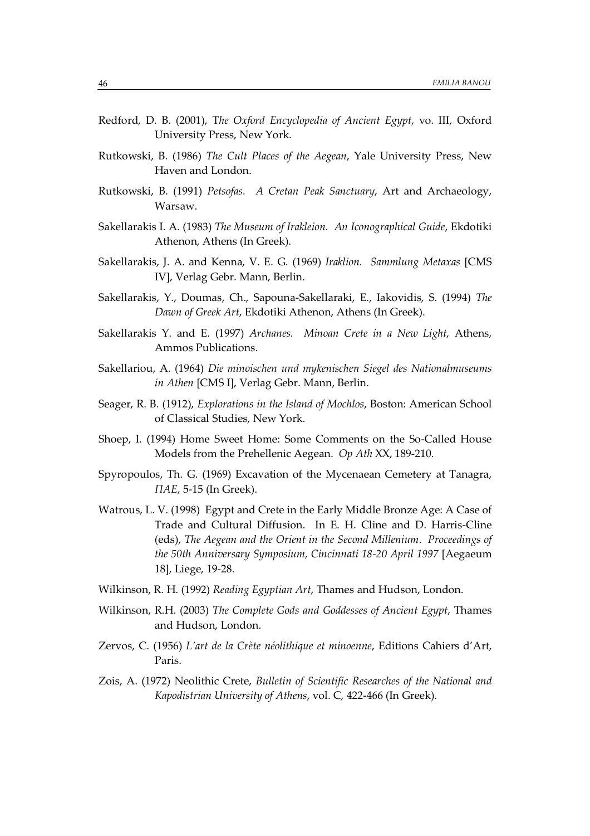- Redford, D. B. (2001), T*he Oxford Encyclopedia of Ancient Egypt*, vo. III, Oxford University Press, New York.
- Rutkowski, B. (1986) *The Cult Places of the Aegean*, Yale University Press, New Haven and London.
- Rutkowski, B. (1991) *Petsofas. A Cretan Peak Sanctuary*, Art and Archaeology, Warsaw.
- Sakellarakis I. A. (1983) *The Museum of Irakleion. An Iconographical Guide*, Ekdotiki Athenon, Athens (In Greek).
- Sakellarakis, J. A. and Kenna, V. E. G. (1969) *Iraklion. Sammlung Metaxas* [CMS IV], Verlag Gebr. Mann, Berlin.
- Sakellarakis, Y., Doumas, Ch., Sapouna-Sakellaraki, E., Iakovidis, S. (1994) *The Dawn of Greek Art*, Ekdotiki Athenon, Athens (In Greek).
- Sakellarakis Y. and E. (1997) *Archanes. Minoan Crete in a New Light*, Athens, Ammos Publications.
- Sakellariou, A. (1964) *Die minoischen und mykenischen Siegel des Nationalmuseums in Athen* [CMS I], Verlag Gebr. Mann, Berlin.
- Seager, R. B. (1912), *Explorations in the Island of Mochlos*, Boston: American School of Classical Studies, New York.
- Shoep, I. (1994) Home Sweet Home: Some Comments on the So-Called House Models from the Prehellenic Aegean. *Op Ath* XX, 189-210.
- Spyropoulos, Th. G. (1969) Excavation of the Mycenaean Cemetery at Tanagra,  *(In Greek).*
- Watrous, L. V. (1998) Egypt and Crete in the Early Middle Bronze Age: A Case of Trade and Cultural Diffusion. In E. H. Cline and D. Harris-Cline (eds), *The Aegean and the Orient in the Second Millenium*. *Proceedings of the 50th Anniversary Symposium, Cincinnati 18-20 April 1997* [Aegaeum 18], Liege, 19-28.
- Wilkinson, R. H. (1992) *Reading Egyptian Art*, Thames and Hudson, London.
- Wilkinson, R.H. (2003) *The Complete Gods and Goddesses of Ancient Egypt*, Thames and Hudson, London.
- Zervos, C. (1956) *L'art de la Crète néolithique et minoenne*, Editions Cahiers d'Art, Paris.
- Zois, A. (1972) Neolithic Crete, *Bulletin of Scientific Researches of the National and Kapodistrian University of Athens*, vol. C, 422-466 (In Greek).